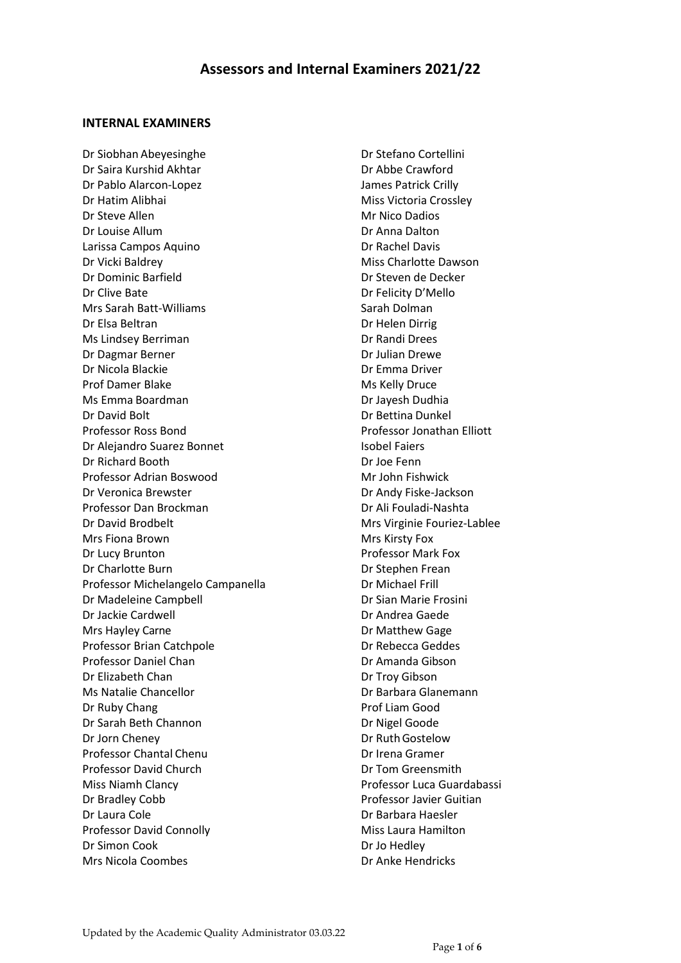#### **INTERNAL EXAMINERS**

Dr Siobhan Abeyesinghe Dr Saira Kurshid Akhtar Dr Pablo Alarcon-Lopez Dr Hatim Alibhai Dr Steve Allen Dr Louise Allum Larissa Campos Aquino Dr Vicki Baldrey Dr Dominic Barfield Dr Clive Bate Mrs Sarah Batt-Williams Dr Elsa Beltran Ms Lindsey Berriman Dr Dagmar Berner Dr Nicola Blackie Prof Damer Blake Ms Emma Boardman Dr David Bolt Professor Ross Bond Dr Alejandro Suarez Bonnet Dr Richard Booth Professor Adrian Boswood Dr Veronica Brewster Professor Dan Brockman Dr David Brodbelt Mrs Fiona Brown Dr Lucy Brunton Dr Charlotte Burn Professor Michelangelo Campanella Dr Madeleine Campbell Dr Jackie Cardwell Mrs Hayley Carne Professor Brian Catchpole Professor Daniel Chan Dr Elizabeth Chan Ms Natalie Chancellor Dr Ruby Chang Dr Sarah Beth Channon Dr Jorn Cheney Professor Chantal Chenu Professor David Church Miss Niamh Clancy Dr Bradley Cobb Dr Laura Cole Professor David Connolly Dr Simon Cook Mrs Nicola Coombes

Dr Stefano Cortellini Dr Abbe Crawford James Patrick Crilly Miss Victoria Crossley Mr Nico Dadios Dr Anna Dalton Dr Rachel Davis Miss Charlotte Dawson Dr Steven de Decker Dr Felicity D'Mello Sarah Dolman Dr Helen Dirrig Dr Randi Drees Dr Julian Drewe Dr Emma Driver Ms Kelly Druce Dr Jayesh Dudhia Dr Bettina Dunkel Professor Jonathan Elliott Isobel Faiers Dr Joe Fenn Mr John Fishwick Dr Andy Fiske-Jackson Dr Ali Fouladi-Nashta Mrs Virginie Fouriez-Lablee Mrs Kirsty Fox Professor Mark Fox Dr Stephen Frean Dr Michael Frill Dr Sian Marie Frosini Dr Andrea Gaede Dr Matthew Gage Dr Rebecca Geddes Dr Amanda Gibson Dr Troy Gibson Dr Barbara Glanemann Prof Liam Good Dr Nigel Goode Dr RuthGostelow Dr Irena Gramer Dr Tom Greensmith Professor Luca Guardabassi Professor Javier Guitian Dr Barbara Haesler Miss Laura Hamilton Dr Jo Hedley Dr Anke Hendricks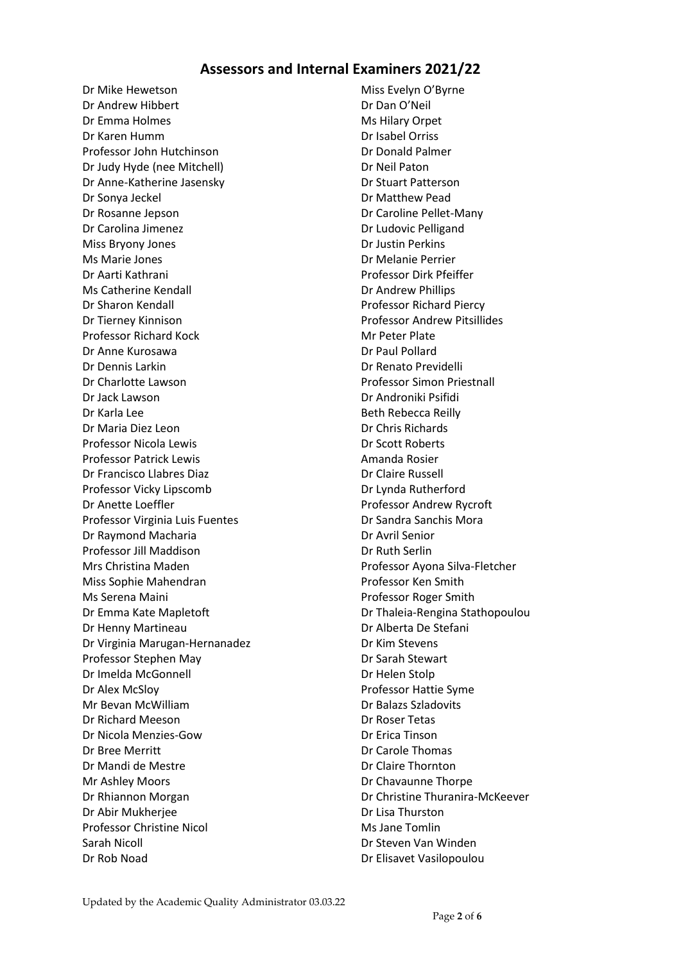Dr Mike Hewetson Dr Andrew Hibbert Dr Emma Holmes Dr Karen Humm Professor John Hutchinson Dr Judy Hyde (nee Mitchell) Dr Anne-Katherine Jasensky Dr Sonya Jeckel Dr Rosanne Jepson Dr Carolina Jimenez Miss Bryony Jones Ms Marie Jones Dr Aarti Kathrani Ms Catherine Kendall Dr Sharon Kendall Dr Tierney Kinnison Professor Richard Kock Dr Anne Kurosawa Dr Dennis Larkin Dr Charlotte Lawson Dr Jack Lawson Dr Karla Lee Dr Maria Diez Leon Professor Nicola Lewis Professor Patrick Lewis Dr Francisco Llabres Diaz Professor Vicky Lipscomb Dr Anette Loeffler Professor Virginia Luis Fuentes Dr Raymond Macharia Professor Jill Maddison Mrs Christina Maden Miss Sophie Mahendran Ms Serena Maini Dr Emma Kate Mapletoft Dr Henny Martineau Dr Virginia Marugan-Hernanadez Professor Stephen May Dr Imelda McGonnell Dr Alex McSloy Mr Bevan McWilliam Dr Richard Meeson Dr Nicola Menzies-Gow Dr Bree Merritt Dr Mandi de Mestre Mr Ashley Moors Dr Rhiannon Morgan Dr Abir Mukherjee Professor Christine Nicol Sarah Nicoll Dr Rob Noad

Miss Evelyn O'Byrne Dr Dan O'Neil Ms Hilary Orpet Dr Isabel Orriss Dr Donald Palmer Dr Neil Paton Dr Stuart Patterson Dr Matthew Pead Dr Caroline Pellet-Many Dr Ludovic Pelligand Dr Justin Perkins Dr Melanie Perrier Professor Dirk Pfeiffer Dr Andrew Phillips Professor Richard Piercy Professor Andrew Pitsillides Mr Peter Plate Dr Paul Pollard Dr Renato Previdelli Professor Simon Priestnall Dr Androniki Psifidi Beth Rebecca Reilly Dr Chris Richards Dr Scott Roberts Amanda Rosier Dr Claire Russell Dr Lynda Rutherford Professor Andrew Rycroft Dr Sandra Sanchis Mora Dr Avril Senior Dr Ruth Serlin Professor Ayona Silva-Fletcher Professor Ken Smith Professor Roger Smith Dr Thaleia-Rengina Stathopoulou Dr Alberta De Stefani Dr Kim Stevens Dr Sarah Stewart Dr Helen Stolp Professor Hattie Syme Dr Balazs Szladovits Dr Roser Tetas Dr Erica Tinson Dr Carole Thomas Dr Claire Thornton Dr Chavaunne Thorpe Dr Christine Thuranira-McKeever Dr Lisa Thurston Ms Jane Tomlin Dr Steven Van Winden Dr Elisavet Vasilopoulou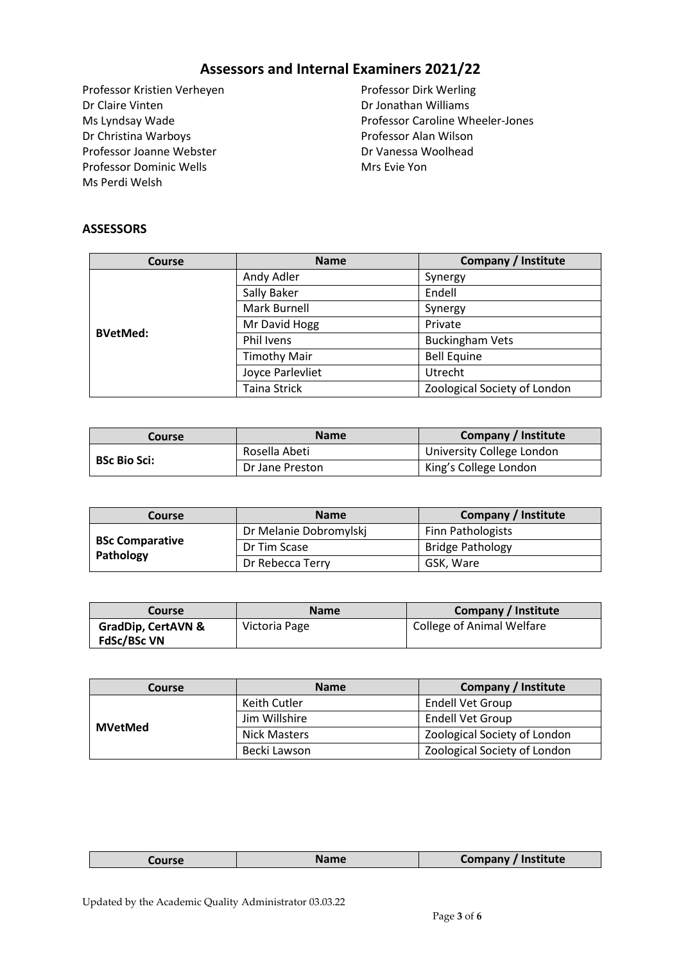Professor Kristien Verheyen Dr Claire Vinten Ms Lyndsay Wade Dr Christina Warboys Professor Joanne Webster Professor Dominic Wells Ms Perdi Welsh

Professor Dirk Werling Dr Jonathan Williams Professor Caroline Wheeler-Jones Professor Alan Wilson Dr Vanessa Woolhead Mrs Evie Yon

#### **ASSESSORS**

| <b>Course</b>   | <b>Name</b>         | <b>Company / Institute</b>   |
|-----------------|---------------------|------------------------------|
| <b>BVetMed:</b> | Andy Adler          | Synergy                      |
|                 | Sally Baker         | Endell                       |
|                 | Mark Burnell        | Synergy                      |
|                 | Mr David Hogg       | Private                      |
|                 | Phil Ivens          | <b>Buckingham Vets</b>       |
|                 | <b>Timothy Mair</b> | <b>Bell Equine</b>           |
|                 | Joyce Parlevliet    | Utrecht                      |
|                 | <b>Taina Strick</b> | Zoological Society of London |

| Course              | <b>Name</b>     | Company / Institute       |
|---------------------|-----------------|---------------------------|
| <b>BSc Bio Sci:</b> | Rosella Abeti   | University College London |
|                     | Dr Jane Preston | King's College London     |

| Course                              | <b>Name</b>            | <b>Company / Institute</b> |
|-------------------------------------|------------------------|----------------------------|
| <b>BSc Comparative</b><br>Pathology | Dr Melanie Dobromylskj | <b>Finn Pathologists</b>   |
|                                     | Dr Tim Scase           | <b>Bridge Pathology</b>    |
|                                     | Dr Rebecca Terry       | GSK, Ware                  |

| Course                                              | <b>Name</b>   | <b>Company / Institute</b> |
|-----------------------------------------------------|---------------|----------------------------|
| <b>GradDip, CertAVN &amp;</b><br><b>FdSc/BSc VN</b> | Victoria Page | College of Animal Welfare  |

| Course         | <b>Name</b>         | <b>Company / Institute</b>   |
|----------------|---------------------|------------------------------|
| <b>MVetMed</b> | Keith Cutler        | Endell Vet Group             |
|                | Jim Willshire       | <b>Endell Vet Group</b>      |
|                | <b>Nick Masters</b> | Zoological Society of London |
|                | Becki Lawson        | Zoological Society of London |

| Company /<br>$-$<br>ourse |
|---------------------------|
|---------------------------|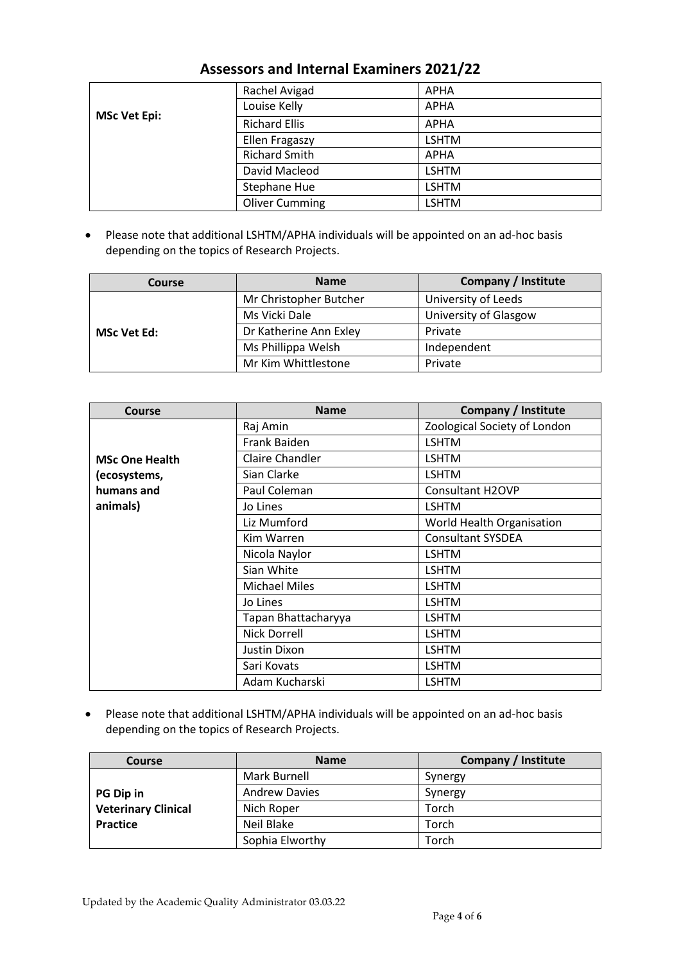| ASSESSUIS AND MILENIAI LAAMINICIS ZUZITZZ |                       |              |  |
|-------------------------------------------|-----------------------|--------------|--|
|                                           | Rachel Avigad         | <b>APHA</b>  |  |
| <b>MSc Vet Epi:</b>                       | Louise Kelly          | <b>APHA</b>  |  |
|                                           | <b>Richard Ellis</b>  | <b>APHA</b>  |  |
|                                           | Ellen Fragaszy        | <b>LSHTM</b> |  |
|                                           | <b>Richard Smith</b>  | <b>APHA</b>  |  |
|                                           | David Macleod         | <b>LSHTM</b> |  |
|                                           | Stephane Hue          | <b>LSHTM</b> |  |
|                                           | <b>Oliver Cumming</b> | <b>LSHTM</b> |  |

• Please note that additional LSHTM/APHA individuals will be appointed on an ad-hoc basis depending on the topics of Research Projects.

| Course             | <b>Name</b>            | Company / Institute   |
|--------------------|------------------------|-----------------------|
| <b>MSc Vet Ed:</b> | Mr Christopher Butcher | University of Leeds   |
|                    | Ms Vicki Dale          | University of Glasgow |
|                    | Dr Katherine Ann Exley | Private               |
|                    | Ms Phillippa Welsh     | Independent           |
|                    | Mr Kim Whittlestone    | Private               |

| <b>Course</b>         | <b>Name</b>            | Company / Institute          |
|-----------------------|------------------------|------------------------------|
|                       | Raj Amin               | Zoological Society of London |
|                       | Frank Baiden           | <b>LSHTM</b>                 |
| <b>MSc One Health</b> | <b>Claire Chandler</b> | <b>LSHTM</b>                 |
| (ecosystems,          | Sian Clarke            | <b>LSHTM</b>                 |
| humans and            | Paul Coleman           | <b>Consultant H2OVP</b>      |
| animals)              | Jo Lines               | <b>LSHTM</b>                 |
|                       | Liz Mumford            | World Health Organisation    |
|                       | Kim Warren             | <b>Consultant SYSDEA</b>     |
|                       | Nicola Naylor          | <b>LSHTM</b>                 |
|                       | Sian White             | <b>LSHTM</b>                 |
|                       | <b>Michael Miles</b>   | <b>LSHTM</b>                 |
|                       | Jo Lines               | <b>LSHTM</b>                 |
|                       | Tapan Bhattacharyya    | <b>LSHTM</b>                 |
|                       | Nick Dorrell           | <b>LSHTM</b>                 |
|                       | Justin Dixon           | <b>LSHTM</b>                 |
|                       | Sari Kovats            | <b>LSHTM</b>                 |
|                       | Adam Kucharski         | <b>LSHTM</b>                 |

• Please note that additional LSHTM/APHA individuals will be appointed on an ad-hoc basis depending on the topics of Research Projects.

| Course                     | <b>Name</b>          | <b>Company / Institute</b> |
|----------------------------|----------------------|----------------------------|
|                            | Mark Burnell         | Synergy                    |
| <b>PG Dip in</b>           | <b>Andrew Davies</b> | Synergy                    |
| <b>Veterinary Clinical</b> | Nich Roper           | Torch                      |
| <b>Practice</b>            | Neil Blake           | Torch                      |
|                            | Sophia Elworthy      | Torch                      |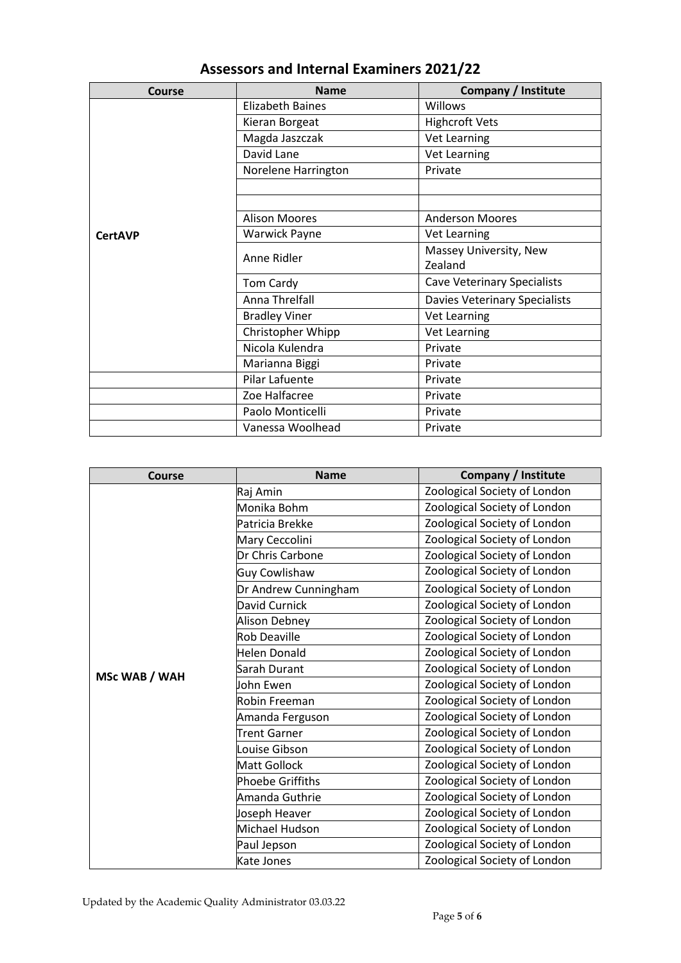| Course         | <b>Name</b>             | Company / Institute                |
|----------------|-------------------------|------------------------------------|
|                | <b>Elizabeth Baines</b> | <b>Willows</b>                     |
|                | Kieran Borgeat          | <b>Highcroft Vets</b>              |
|                | Magda Jaszczak          | Vet Learning                       |
|                | David Lane              | <b>Vet Learning</b>                |
|                | Norelene Harrington     | Private                            |
|                |                         |                                    |
|                |                         |                                    |
|                | <b>Alison Moores</b>    | <b>Anderson Moores</b>             |
| <b>CertAVP</b> | <b>Warwick Payne</b>    | Vet Learning                       |
|                | Anne Ridler             | Massey University, New             |
|                |                         | Zealand                            |
|                | Tom Cardy               | <b>Cave Veterinary Specialists</b> |
|                | Anna Threlfall          | Davies Veterinary Specialists      |
|                | <b>Bradley Viner</b>    | Vet Learning                       |
|                | Christopher Whipp       | Vet Learning                       |
|                | Nicola Kulendra         | Private                            |
|                | Marianna Biggi          | Private                            |
|                | Pilar Lafuente          | Private                            |
|                | Zoe Halfacree           | Private                            |
|                | Paolo Monticelli        | Private                            |
|                | Vanessa Woolhead        | Private                            |

| <b>Course</b> | <b>Name</b>          | <b>Company / Institute</b>   |
|---------------|----------------------|------------------------------|
|               | Raj Amin             | Zoological Society of London |
|               | Monika Bohm          | Zoological Society of London |
|               | Patricia Brekke      | Zoological Society of London |
|               | Mary Ceccolini       | Zoological Society of London |
|               | Dr Chris Carbone     | Zoological Society of London |
|               | <b>Guy Cowlishaw</b> | Zoological Society of London |
|               | Dr Andrew Cunningham | Zoological Society of London |
|               | David Curnick        | Zoological Society of London |
|               | Alison Debney        | Zoological Society of London |
|               | <b>Rob Deaville</b>  | Zoological Society of London |
|               | Helen Donald         | Zoological Society of London |
| MSc WAB / WAH | Sarah Durant         | Zoological Society of London |
|               | John Ewen            | Zoological Society of London |
|               | Robin Freeman        | Zoological Society of London |
|               | Amanda Ferguson      | Zoological Society of London |
|               | <b>Trent Garner</b>  | Zoological Society of London |
|               | Louise Gibson        | Zoological Society of London |
|               | Matt Gollock         | Zoological Society of London |
|               | Phoebe Griffiths     | Zoological Society of London |
|               | Amanda Guthrie       | Zoological Society of London |
|               | Joseph Heaver        | Zoological Society of London |
|               | Michael Hudson       | Zoological Society of London |
|               | Paul Jepson          | Zoological Society of London |
|               | Kate Jones           | Zoological Society of London |